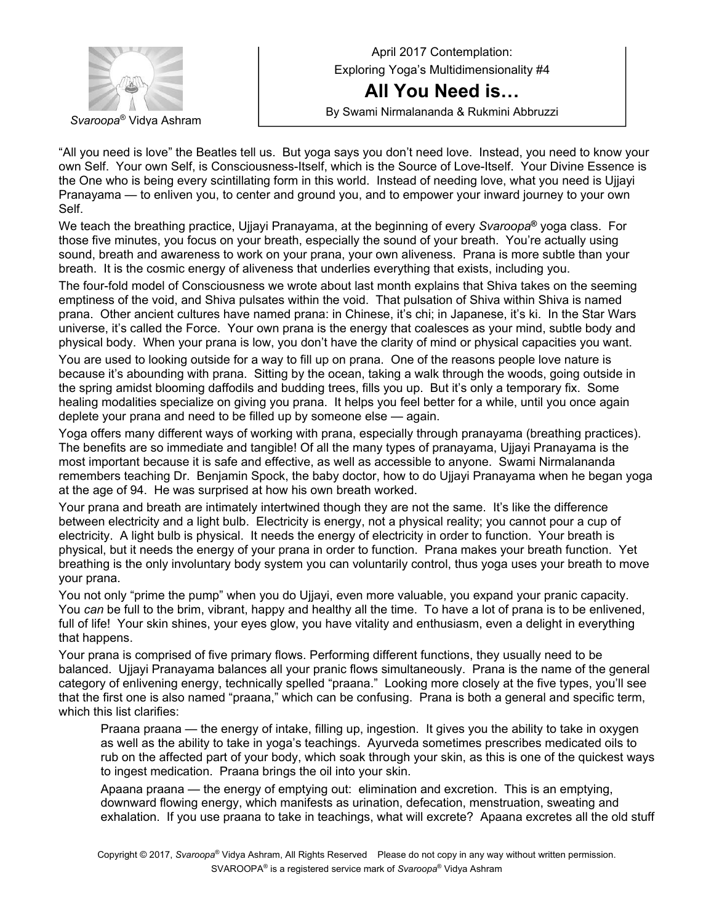

April 2017 Contemplation: Exploring Yoga's Multidimensionality #4 **All You Need is…**  By Swami Nirmalananda & Rukmini Abbruzzi *Svaroopa*® Vidya Ashram

"All you need is love" the Beatles tell us. But yoga says you don't need love. Instead, you need to know your own Self. Your own Self, is Consciousness-Itself, which is the Source of Love-Itself. Your Divine Essence is the One who is being every scintillating form in this world. Instead of needing love, what you need is Ujjayi Pranayama — to enliven you, to center and ground you, and to empower your inward journey to your own Self.

We teach the breathing practice, Ujjayi Pranayama, at the beginning of every *Svaroopa***®** yoga class. For those five minutes, you focus on your breath, especially the sound of your breath. You're actually using sound, breath and awareness to work on your prana, your own aliveness. Prana is more subtle than your breath. It is the cosmic energy of aliveness that underlies everything that exists, including you.

The four-fold model of Consciousness we wrote about last month explains that Shiva takes on the seeming emptiness of the void, and Shiva pulsates within the void. That pulsation of Shiva within Shiva is named prana. Other ancient cultures have named prana: in Chinese, it's chi; in Japanese, it's ki. In the Star Wars universe, it's called the Force. Your own prana is the energy that coalesces as your mind, subtle body and physical body. When your prana is low, you don't have the clarity of mind or physical capacities you want.

You are used to looking outside for a way to fill up on prana. One of the reasons people love nature is because it's abounding with prana. Sitting by the ocean, taking a walk through the woods, going outside in the spring amidst blooming daffodils and budding trees, fills you up. But it's only a temporary fix. Some healing modalities specialize on giving you prana. It helps you feel better for a while, until you once again deplete your prana and need to be filled up by someone else — again.

Yoga offers many different ways of working with prana, especially through pranayama (breathing practices). The benefits are so immediate and tangible! Of all the many types of pranayama, Ujjayi Pranayama is the most important because it is safe and effective, as well as accessible to anyone. Swami Nirmalananda remembers teaching Dr. Benjamin Spock, the baby doctor, how to do Ujjayi Pranayama when he began yoga at the age of 94. He was surprised at how his own breath worked.

Your prana and breath are intimately intertwined though they are not the same. It's like the difference between electricity and a light bulb. Electricity is energy, not a physical reality; you cannot pour a cup of electricity. A light bulb is physical. It needs the energy of electricity in order to function. Your breath is physical, but it needs the energy of your prana in order to function. Prana makes your breath function. Yet breathing is the only involuntary body system you can voluntarily control, thus yoga uses your breath to move your prana.

You not only "prime the pump" when you do Ujjayi, even more valuable, you expand your pranic capacity. You *can* be full to the brim, vibrant, happy and healthy all the time. To have a lot of prana is to be enlivened, full of life! Your skin shines, your eyes glow, you have vitality and enthusiasm, even a delight in everything that happens.

Your prana is comprised of five primary flows. Performing different functions, they usually need to be balanced. Ujjayi Pranayama balances all your pranic flows simultaneously. Prana is the name of the general category of enlivening energy, technically spelled "praana." Looking more closely at the five types, you'll see that the first one is also named "praana," which can be confusing. Prana is both a general and specific term, which this list clarifies:

Praana praana — the energy of intake, filling up, ingestion. It gives you the ability to take in oxygen as well as the ability to take in yoga's teachings. Ayurveda sometimes prescribes medicated oils to rub on the affected part of your body, which soak through your skin, as this is one of the quickest ways to ingest medication. Praana brings the oil into your skin.

Apaana praana — the energy of emptying out: elimination and excretion. This is an emptying, downward flowing energy, which manifests as urination, defecation, menstruation, sweating and exhalation. If you use praana to take in teachings, what will excrete? Apaana excretes all the old stuff